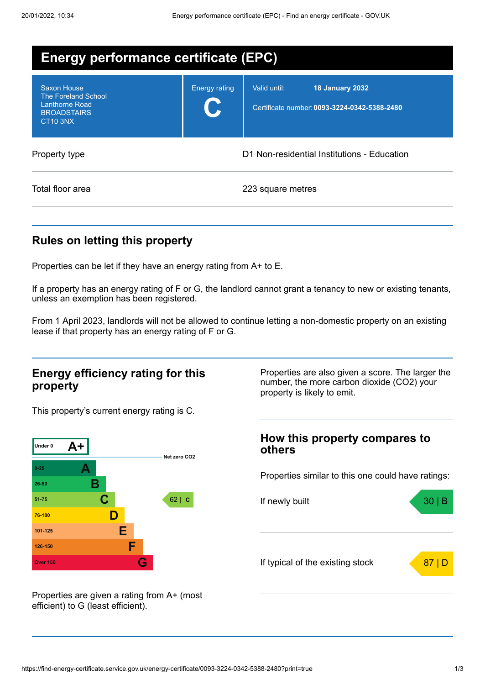| <b>Energy performance certificate (EPC)</b>                                                          |                                             |                                                                                        |  |  |
|------------------------------------------------------------------------------------------------------|---------------------------------------------|----------------------------------------------------------------------------------------|--|--|
| Saxon House<br><b>The Foreland School</b><br>Lanthorne Road<br><b>BROADSTAIRS</b><br><b>CT10 3NX</b> | <b>Energy rating</b>                        | Valid until:<br><b>18 January 2032</b><br>Certificate number: 0093-3224-0342-5388-2480 |  |  |
| Property type                                                                                        | D1 Non-residential Institutions - Education |                                                                                        |  |  |
| Total floor area                                                                                     |                                             | 223 square metres                                                                      |  |  |

#### **Rules on letting this property**

Properties can be let if they have an energy rating from A+ to E.

If a property has an energy rating of F or G, the landlord cannot grant a tenancy to new or existing tenants, unless an exemption has been registered.

From 1 April 2023, landlords will not be allowed to continue letting a non-domestic property on an existing lease if that property has an energy rating of F or G.

#### **Energy efficiency rating for this property**

This property's current energy rating is C.



Properties are also given a score. The larger the number, the more carbon dioxide (CO2) your property is likely to emit.

# **How this property compares to others** Properties similar to this one could have ratings: If newly built a set of the set of the set of the set of the set of the set of the set of the set of the set of the set of the set of the set of the set of the set of the set of the set of the set of the set of the set of If typical of the existing stock  $87 | E$

Properties are given a rating from A+ (most efficient) to G (least efficient).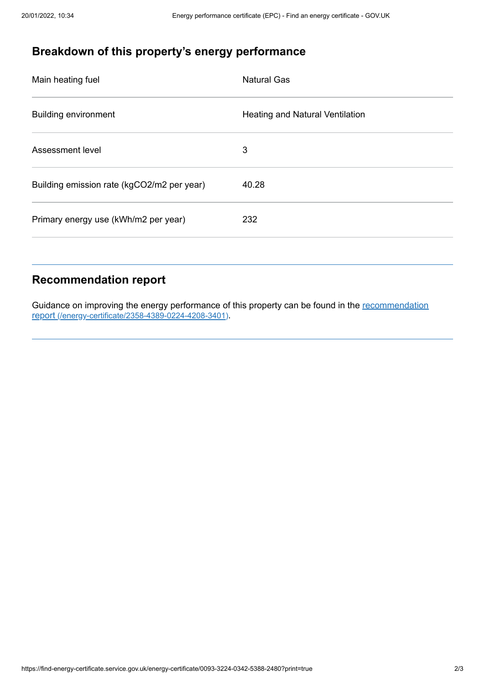## **Breakdown of this property's energy performance**

| Main heating fuel                          | <b>Natural Gas</b>                     |
|--------------------------------------------|----------------------------------------|
| <b>Building environment</b>                | <b>Heating and Natural Ventilation</b> |
| Assessment level                           | 3                                      |
| Building emission rate (kgCO2/m2 per year) | 40.28                                  |
| Primary energy use (kWh/m2 per year)       | 232                                    |

## **Recommendation report**

Guidance on improving the energy performance of this property can be found in the recommendation report [\(/energy-certificate/2358-4389-0224-4208-3401\)](https://find-energy-certificate.service.gov.uk/energy-certificate/2358-4389-0224-4208-3401).